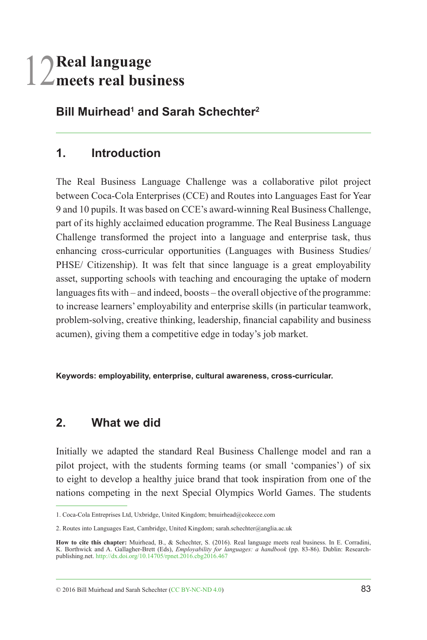# 12**Real language meets real business**

**Bill Muirhead1 and Sarah Schechter2**

## **1. Introduction**

The Real Business Language Challenge was a collaborative pilot project between Coca-Cola Enterprises (CCE) and Routes into Languages East for Year 9 and 10 pupils. It was based on CCE's award-winning Real Business Challenge, part of its highly acclaimed education programme. The Real Business Language Challenge transformed the project into a language and enterprise task, thus enhancing cross-curricular opportunities (Languages with Business Studies/ PHSE/ Citizenship). It was felt that since language is a great employability asset, supporting schools with teaching and encouraging the uptake of modern languages fits with – and indeed, boosts – the overall objective of the programme: to increase learners' employability and enterprise skills (in particular teamwork, problem-solving, creative thinking, leadership, financial capability and business acumen), giving them a competitive edge in today's job market.

**Keywords: employability, enterprise, cultural awareness, cross-curricular.**

### **2. What we did**

Initially we adapted the standard Real Business Challenge model and ran a pilot project, with the students forming teams (or small 'companies') of six to eight to develop a healthy juice brand that took inspiration from one of the nations competing in the next Special Olympics World Games. The students

© 2016 Bill Muirhead and Sarah Schechter [\(CC BY-NC-ND 4.0](https://creativecommons.org/licenses/by-nc-nd/4.0/)) 83

<sup>1.</sup> Coca-Cola Entreprises Ltd, Uxbridge, United Kingdom; bmuirhead@cokecce.com

<sup>2.</sup> Routes into Languages East, Cambridge, United Kingdom; sarah.schechter@anglia.ac.uk

How to cite this chapter: Muirhead, B., & Schechter, S. (2016). Real language meets real business. In E. Corradini,<br>K. Borthwick and A. Gallagher-Brett (Eds), *Employability for languages: a handbook* (pp. 83-86). Dublin: publishing.net. <http://dx.doi.org/10.14705/rpnet.2016.cbg2016.467>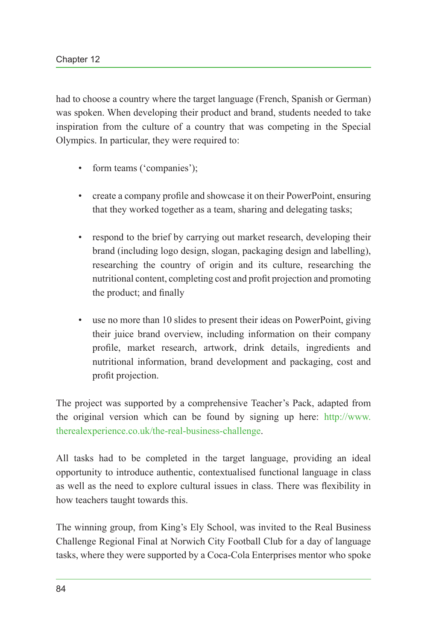had to choose a country where the target language (French, Spanish or German) was spoken. When developing their product and brand, students needed to take inspiration from the culture of a country that was competing in the Special Olympics. In particular, they were required to:

- form teams ('companies');
- create a company profile and showcase it on their PowerPoint, ensuring that they worked together as a team, sharing and delegating tasks;
- respond to the brief by carrying out market research, developing their brand (including logo design, slogan, packaging design and labelling), researching the country of origin and its culture, researching the nutritional content, completing cost and profit projection and promoting the product; and finally
- use no more than 10 slides to present their ideas on PowerPoint, giving their juice brand overview, including information on their company profile, market research, artwork, drink details, ingredients and nutritional information, brand development and packaging, cost and profit projection.

The project was supported by a comprehensive Teacher's Pack, adapted from the original version which can be found by signing up here: [http://www.](http://www.therealexperience.co.uk/the-real-business-challenge) [therealexperience.co.uk/the-real-business-challenge.](http://www.therealexperience.co.uk/the-real-business-challenge)

All tasks had to be completed in the target language, providing an ideal opportunity to introduce authentic, contextualised functional language in class as well as the need to explore cultural issues in class. There was flexibility in how teachers taught towards this.

The winning group, from King's Ely School, was invited to the Real Business Challenge Regional Final at Norwich City Football Club for a day of language tasks, where they were supported by a Coca-Cola Enterprises mentor who spoke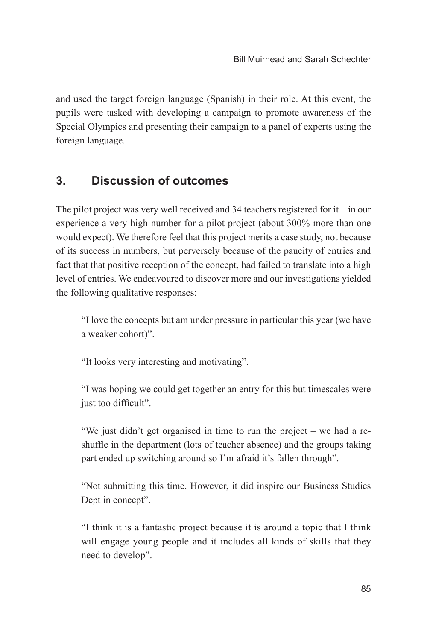and used the target foreign language (Spanish) in their role. At this event, the pupils were tasked with developing a campaign to promote awareness of the Special Olympics and presenting their campaign to a panel of experts using the foreign language.

### **3. Discussion of outcomes**

The pilot project was very well received and 34 teachers registered for it – in our experience a very high number for a pilot project (about 300% more than one would expect). We therefore feel that this project merits a case study, not because of its success in numbers, but perversely because of the paucity of entries and fact that that positive reception of the concept, had failed to translate into a high level of entries. We endeavoured to discover more and our investigations yielded the following qualitative responses:

"I love the concepts but am under pressure in particular this year (we have a weaker cohort)".

"It looks very interesting and motivating".

"I was hoping we could get together an entry for this but timescales were just too difficult".

"We just didn't get organised in time to run the project – we had a reshuffle in the department (lots of teacher absence) and the groups taking part ended up switching around so I'm afraid it's fallen through".

"Not submitting this time. However, it did inspire our Business Studies Dept in concept".

"I think it is a fantastic project because it is around a topic that I think will engage young people and it includes all kinds of skills that they need to develop".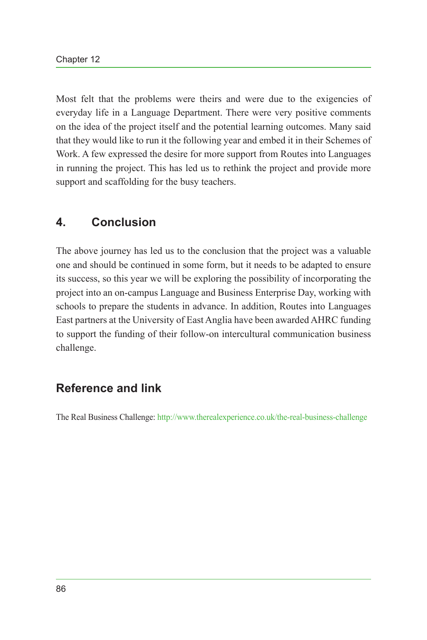Most felt that the problems were theirs and were due to the exigencies of everyday life in a Language Department. There were very positive comments on the idea of the project itself and the potential learning outcomes. Many said that they would like to run it the following year and embed it in their Schemes of Work. A few expressed the desire for more support from Routes into Languages in running the project. This has led us to rethink the project and provide more support and scaffolding for the busy teachers.

#### **4. Conclusion**

The above journey has led us to the conclusion that the project was a valuable one and should be continued in some form, but it needs to be adapted to ensure its success, so this year we will be exploring the possibility of incorporating the project into an on-campus Language and Business Enterprise Day, working with schools to prepare the students in advance. In addition, Routes into Languages East partners at the University of East Anglia have been awarded AHRC funding to support the funding of their follow-on intercultural communication business challenge.

### **Reference and link**

The Real Business Challenge:<http://www.therealexperience.co.uk/the-real-business-challenge>